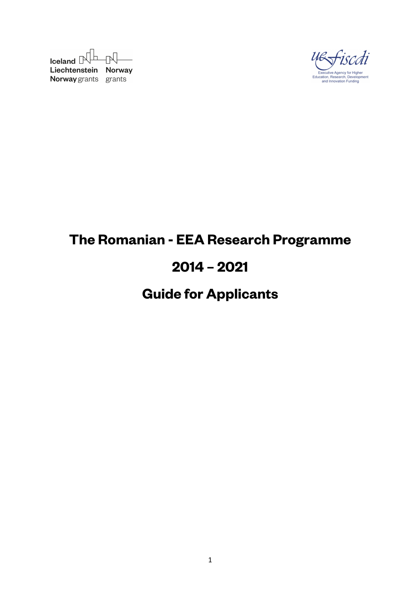$I$ celand  $\mathbb{R}$   $\mathbb{R}$ Liechtenstein Norway Norway grants grants



# **The Romanian - EEA Research Programme**

# **2014 – 2021**

# **Guide for Applicants**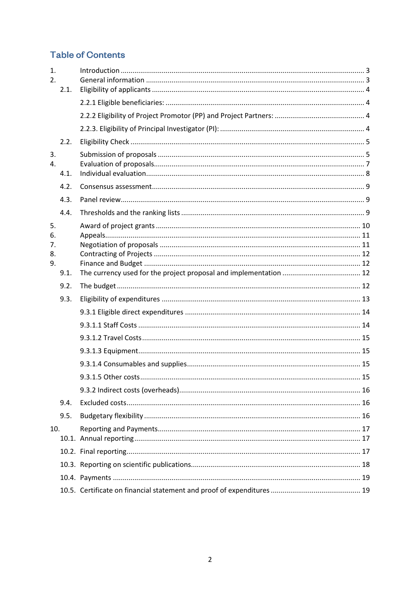# **Table of Contents**

| $\mathbf{1}$ .<br>2.       | 2.1. |  |
|----------------------------|------|--|
|                            |      |  |
|                            |      |  |
|                            |      |  |
|                            | 2.2. |  |
| 3.<br>4.                   | 4.1. |  |
|                            | 4.2. |  |
|                            | 4.3. |  |
|                            | 4.4. |  |
| 5.<br>6.<br>7.<br>8.<br>9. |      |  |
|                            | 9.1. |  |
|                            | 9.2. |  |
|                            | 9.3. |  |
|                            |      |  |
|                            |      |  |
|                            |      |  |
|                            |      |  |
|                            |      |  |
|                            |      |  |
|                            |      |  |
|                            | 9.4. |  |
|                            | 9.5. |  |
| 10.                        |      |  |
|                            |      |  |
|                            |      |  |
|                            |      |  |
|                            |      |  |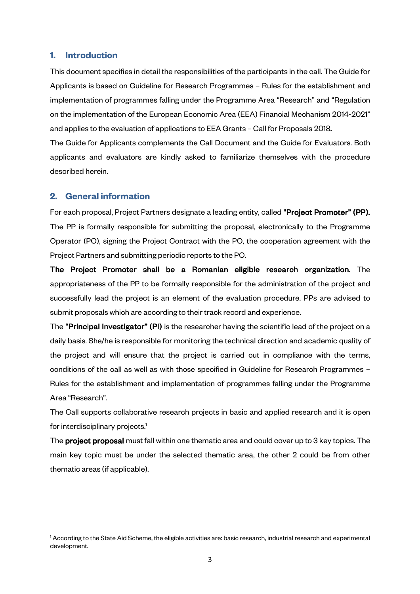#### **1. Introduction**

This document specifies in detail the responsibilities of the participants in the call. The Guide for Applicants is based on Guideline for Research Programmes – Rules for the establishment and implementation of programmes falling under the Programme Area "Research" and "Regulation on the implementation of the European Economic Area (EEA) Financial Mechanism 2014-2021" and applies to the evaluation of applications to EEA Grants - Call for Proposals 2018.

The Guide for Applicants complements the Call Document and the Guide for Evaluators. Both applicants and evaluators are kindly asked to familiarize themselves with the procedure described herein.

## **2. General information**

l

For each proposal, Project Partners designate a leading entity, called "Project Promoter" (PP). The PP is formally responsible for submitting the proposal, electronically to the Programme Operator (PO), signing the Project Contract with the PO, the cooperation agreement with the Project Partners and submitting periodic reports to the PO.

The Project Promoter shall be a Romanian eligible research organization. The appropriateness of the PP to be formally responsible for the administration of the project and successfully lead the project is an element of the evaluation procedure. PPs are advised to submit proposals which are according to their track record and experience.

The "Principal Investigator" (PI) is the researcher having the scientific lead of the project on a daily basis. She/he is responsible for monitoring the technical direction and academic quality of the project and will ensure that the project is carried out in compliance with the terms, conditions of the call as well as with those specified in Guideline for Research Programmes – Rules for the establishment and implementation of programmes falling under the Programme Area "Research".

The Call supports collaborative research projects in basic and applied research and it is open for interdisciplinary projects.<sup>1</sup>

The project proposal must fall within one thematic area and could cover up to 3 key topics. The main key topic must be under the selected thematic area, the other 2 could be from other thematic areas (if applicable).

<sup>1</sup> According to the State Aid Scheme, the eligible activities are: basic research, industrial research and experimental development.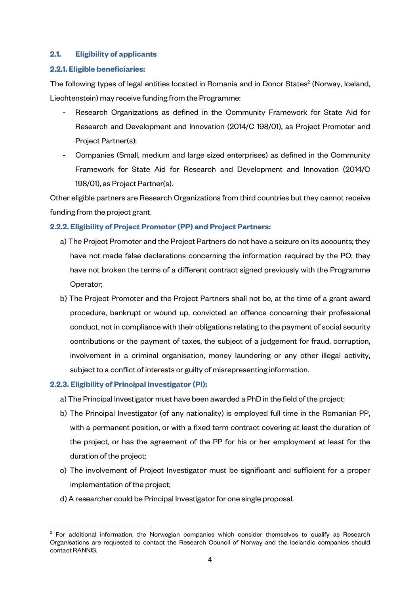## **2.1. Eligibility of applicants**

## **2.2.1. Eligible beneficiaries:**

The following types of legal entities located in Romania and in Donor States<sup>2</sup> (Norway, Iceland, Liechtenstein) may receive funding from the Programme:

- Research Organizations as defined in the Community Framework for State Aid for Research and Development and Innovation (2014/C 198/01), as Project Promoter and Project Partner(s);
- Companies (Small, medium and large sized enterprises) as defined in the Community Framework for State Aid for Research and Development and Innovation (2014/C 198/01), as Project Partner(s).

Other eligible partners are Research Organizations from third countries but they cannot receive funding from the project grant.

## **2.2.2. Eligibility of Project Promotor (PP) and Project Partners:**

- a) The Project Promoter and the Project Partners do not have a seizure on its accounts; they have not made false declarations concerning the information required by the PO; they have not broken the terms of a different contract signed previously with the Programme Operator;
- b) The Project Promoter and the Project Partners shall not be, at the time of a grant award procedure, bankrupt or wound up, convicted an offence concerning their professional conduct, not in compliance with their obligations relating to the payment of social security contributions or the payment of taxes, the subject of a judgement for fraud, corruption, involvement in a criminal organisation, money laundering or any other illegal activity, subject to a conflict of interests or guilty of misrepresenting information.

#### **2.2.3. Eligibility of Principal Investigator (PI):**

l

- a) The Principal Investigator must have been awarded a PhD in the field of the project;
- b) The Principal Investigator (of any nationality) is employed full time in the Romanian PP, with a permanent position, or with a fixed term contract covering at least the duration of the project, or has the agreement of the PP for his or her employment at least for the duration of the project;
- c) The involvement of Project Investigator must be significant and sufficient for a proper implementation of the project;
- d) A researcher could be Principal Investigator for one single proposal.

 $2$  For additional information, the Norwegian companies which consider themselves to qualify as Research Organisations are requested to contact the Research Council of Norway and the Icelandic companies should contact RANNIS.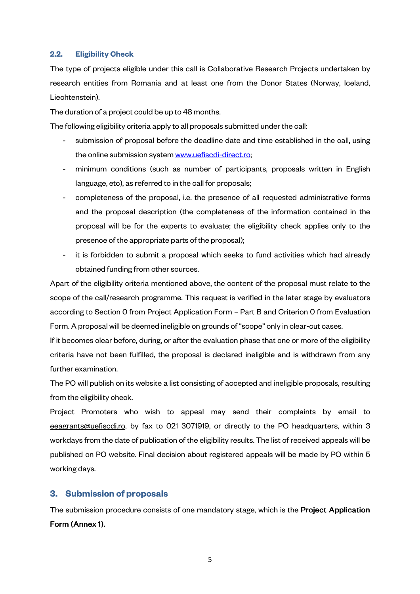#### **2.2. Eligibility Check**

The type of projects eligible under this call is Collaborative Research Projects undertaken by research entities from Romania and at least one from the Donor States (Norway, Iceland, Liechtenstein).

The duration of a project could be up to 48 months.

The following eligibility criteria apply to all proposals submitted under the call:

- submission of proposal before the deadline date and time established in the call, using the online submission system www.uefiscdi-direct.ro;
- minimum conditions (such as number of participants, proposals written in English language, etc), as referred to in the call for proposals;
- completeness of the proposal, i.e. the presence of all requested administrative forms and the proposal description (the completeness of the information contained in the proposal will be for the experts to evaluate; the eligibility check applies only to the presence of the appropriate parts of the proposal);
- it is forbidden to submit a proposal which seeks to fund activities which had already obtained funding from other sources.

Apart of the eligibility criteria mentioned above, the content of the proposal must relate to the scope of the call/research programme. This request is verified in the later stage by evaluators according to Section 0 from Project Application Form – Part B and Criterion 0 from Evaluation Form. A proposal will be deemed ineligible on grounds of "scope" only in clear-cut cases.

If it becomes clear before, during, or after the evaluation phase that one or more of the eligibility criteria have not been fulfilled, the proposal is declared ineligible and is withdrawn from any further examination.

The PO will publish on its website a list consisting of accepted and ineligible proposals, resulting from the eligibility check.

Project Promoters who wish to appeal may send their complaints by email to eeagrants@uefiscdi.ro, by fax to 021 3071919, or directly to the PO headquarters, within 3 workdays from the date of publication of the eligibility results. The list of received appeals will be published on PO website. Final decision about registered appeals will be made by PO within 5 working days.

## **3. Submission of proposals**

The submission procedure consists of one mandatory stage, which is the **Project Application** Form (Annex 1).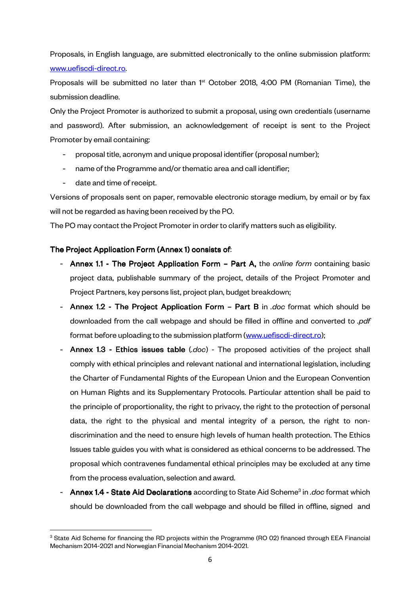Proposals, in English language, are submitted electronically to the online submission platform: www.uefiscdi-direct.ro.

Proposals will be submitted no later than  $1<sup>st</sup>$  October 2018, 4:00 PM (Romanian Time), the submission deadline.

Only the Project Promoter is authorized to submit a proposal, using own credentials (username and password). After submission, an acknowledgement of receipt is sent to the Project Promoter by email containing:

- proposal title, acronym and unique proposal identifier (proposal number);
- name of the Programme and/or thematic area and call identifier;
- date and time of receipt.

l

Versions of proposals sent on paper, removable electronic storage medium, by email or by fax will not be regarded as having been received by the PO.

The PO may contact the Project Promoter in order to clarify matters such as eligibility.

## The Project Application Form (Annex 1) consists of:

- Annex 1.1 The Project Application Form Part A, the *online form* containing basic project data, publishable summary of the project, details of the Project Promoter and Project Partners, key persons list, project plan, budget breakdown;
- Annex 1.2 The Project Application Form Part B in *.doc* format which should be downloaded from the call webpage and should be filled in offline and converted to *.pdf* format before uploading to the submission platform (www.uefiscdi-direct.ro);
- Annex 1.3 Ethics issues table (*.doc*) The proposed activities of the project shall comply with ethical principles and relevant national and international legislation, including the Charter of Fundamental Rights of the European Union and the European Convention on Human Rights and its Supplementary Protocols. Particular attention shall be paid to the principle of proportionality, the right to privacy, the right to the protection of personal data, the right to the physical and mental integrity of a person, the right to nondiscrimination and the need to ensure high levels of human health protection. The Ethics Issues table guides you with what is considered as ethical concerns to be addressed. The proposal which contravenes fundamental ethical principles may be excluded at any time from the process evaluation, selection and award.
- Annex 1.4 State Aid Declarations according to State Aid Scheme<sup>3</sup> in *.doc* format which should be downloaded from the call webpage and should be filled in offline, signed and

 $^3$  State Aid Scheme for financing the RD projects within the Programme (RO 02) financed through EEA Financial Mechanism 2014-2021 and Norwegian Financial Mechanism 2014-2021.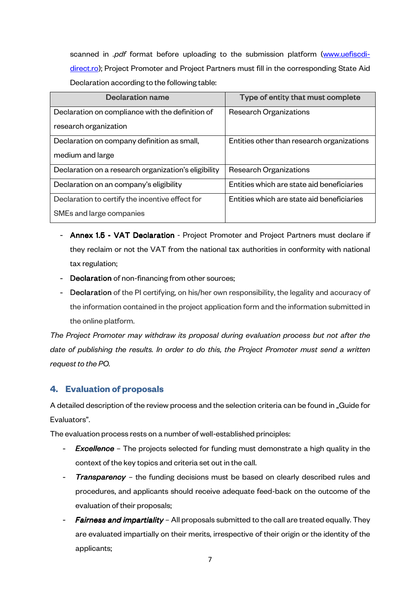scanned in *.pdf* format before uploading to the submission platform (www.uefiscdidirect.ro); Project Promoter and Project Partners must fill in the corresponding State Aid Declaration according to the following table:

| <b>Declaration name</b>                              | Type of entity that must complete          |
|------------------------------------------------------|--------------------------------------------|
| Declaration on compliance with the definition of     | <b>Research Organizations</b>              |
| research organization                                |                                            |
| Declaration on company definition as small,          | Entities other than research organizations |
| medium and large                                     |                                            |
| Declaration on a research organization's eligibility | <b>Research Organizations</b>              |
| Declaration on an company's eligibility              | Entities which are state aid beneficiaries |
| Declaration to certify the incentive effect for      | Entities which are state aid beneficiaries |
| SMEs and large companies                             |                                            |

- Annex 1.5 VAT Declaration Project Promoter and Project Partners must declare if they reclaim or not the VAT from the national tax authorities in conformity with national tax regulation;
- Declaration of non-financing from other sources;
- Declaration of the PI certifying, on his/her own responsibility, the legality and accuracy of the information contained in the project application form and the information submitted in the online platform.

*The Project Promoter may withdraw its proposal during evaluation process but not after the date of publishing the results. In order to do this, the Project Promoter must send a written request to the PO.* 

# **4. Evaluation of proposals**

A detailed description of the review process and the selection criteria can be found in "Guide for Evaluators".

The evaluation process rests on a number of well-established principles:

- *Excellence* The projects selected for funding must demonstrate a high quality in the context of the key topics and criteria set out in the call.
- *Transparency* the funding decisions must be based on clearly described rules and procedures, and applicants should receive adequate feed-back on the outcome of the evaluation of their proposals;
- **Fairness and impartiality** All proposals submitted to the call are treated equally. They are evaluated impartially on their merits, irrespective of their origin or the identity of the applicants;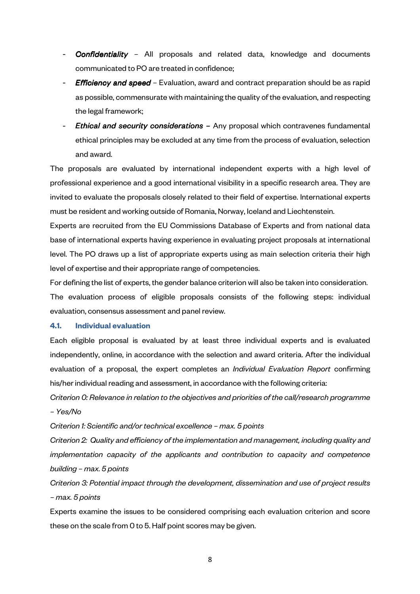- **Confidentiality** All proposals and related data, knowledge and documents communicated to PO are treated in confidence;
- *Efficiency and speed* Evaluation, award and contract preparation should be as rapid as possible, commensurate with maintaining the quality of the evaluation, and respecting the legal framework;
- *Ethical and security considerations –* Any proposal which contravenes fundamental ethical principles may be excluded at any time from the process of evaluation, selection and award.

The proposals are evaluated by international independent experts with a high level of professional experience and a good international visibility in a specific research area. They are invited to evaluate the proposals closely related to their field of expertise. International experts must be resident and working outside of Romania, Norway, Iceland and Liechtenstein.

Experts are recruited from the EU Commissions Database of Experts and from national data base of international experts having experience in evaluating project proposals at international level. The PO draws up a list of appropriate experts using as main selection criteria their high level of expertise and their appropriate range of competencies.

For defining the list of experts, the gender balance criterion will also be taken into consideration. The evaluation process of eligible proposals consists of the following steps: individual evaluation, consensus assessment and panel review.

#### **4.1. Individual evaluation**

Each eligible proposal is evaluated by at least three individual experts and is evaluated independently, online, in accordance with the selection and award criteria. After the individual evaluation of a proposal, the expert completes an *Individual Evaluation Report* confirming his/her individual reading and assessment, in accordance with the following criteria:

*Criterion 0: Relevance in relation to the objectives and priorities of the call/research programme – Yes/No* 

*Criterion 1: Scientific and/or technical excellence – max. 5 points* 

*Criterion 2: Quality and efficiency of the implementation and management, including quality and implementation capacity of the applicants and contribution to capacity and competence building – max. 5 points* 

*Criterion 3: Potential impact through the development, dissemination and use of project results – max. 5 points* 

Experts examine the issues to be considered comprising each evaluation criterion and score these on the scale from 0 to 5. Half point scores may be given.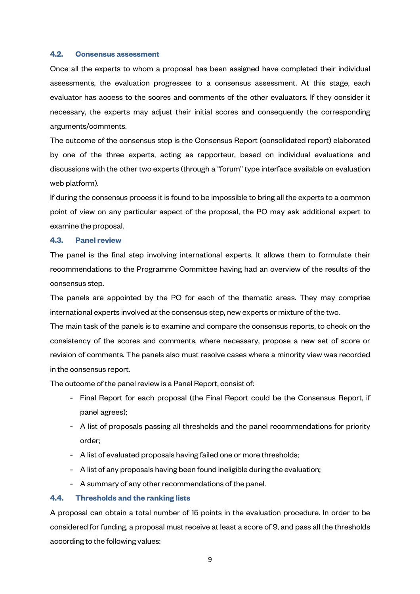#### **4.2. Consensus assessment**

Once all the experts to whom a proposal has been assigned have completed their individual assessments, the evaluation progresses to a consensus assessment. At this stage, each evaluator has access to the scores and comments of the other evaluators. If they consider it necessary, the experts may adjust their initial scores and consequently the corresponding arguments/comments.

The outcome of the consensus step is the Consensus Report (consolidated report) elaborated by one of the three experts, acting as rapporteur, based on individual evaluations and discussions with the other two experts (through a "forum" type interface available on evaluation web platform).

If during the consensus process it is found to be impossible to bring all the experts to a common point of view on any particular aspect of the proposal, the PO may ask additional expert to examine the proposal.

#### **4.3. Panel review**

The panel is the final step involving international experts. It allows them to formulate their recommendations to the Programme Committee having had an overview of the results of the consensus step.

The panels are appointed by the PO for each of the thematic areas. They may comprise international experts involved at the consensus step, new experts or mixture of the two.

The main task of the panels is to examine and compare the consensus reports, to check on the consistency of the scores and comments, where necessary, propose a new set of score or revision of comments. The panels also must resolve cases where a minority view was recorded in the consensus report.

The outcome of the panel review is a Panel Report, consist of:

- Final Report for each proposal (the Final Report could be the Consensus Report, if panel agrees);
- A list of proposals passing all thresholds and the panel recommendations for priority order;
- A list of evaluated proposals having failed one or more thresholds;
- A list of any proposals having been found ineligible during the evaluation;
- A summary of any other recommendations of the panel.

#### **4.4. Thresholds and the ranking lists**

A proposal can obtain a total number of 15 points in the evaluation procedure. In order to be considered for funding, a proposal must receive at least a score of 9, and pass all the thresholds according to the following values: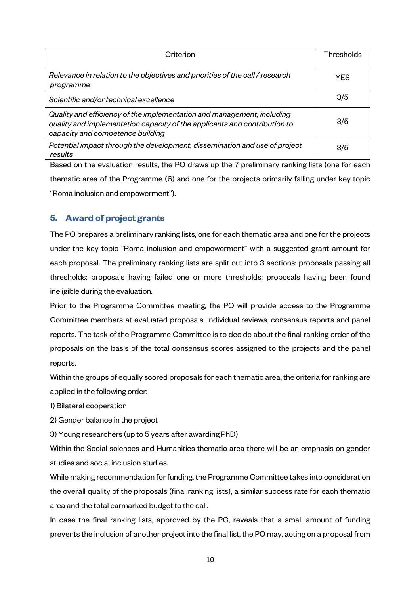| Criterion                                                                                                                                                                               | Thresholds |
|-----------------------------------------------------------------------------------------------------------------------------------------------------------------------------------------|------------|
| Relevance in relation to the objectives and priorities of the call / research<br>programme                                                                                              | <b>YES</b> |
| Scientific and/or technical excellence                                                                                                                                                  | 3/5        |
| Quality and efficiency of the implementation and management, including<br>quality and implementation capacity of the applicants and contribution to<br>capacity and competence building | 3/5        |
| Potential impact through the development, dissemination and use of project<br>results                                                                                                   | 3/5        |

Based on the evaluation results, the PO draws up the 7 preliminary ranking lists (one for each thematic area of the Programme (6) and one for the projects primarily falling under key topic "Roma inclusion and empowerment").

# **5. Award of project grants**

The PO prepares a preliminary ranking lists, one for each thematic area and one for the projects under the key topic "Roma inclusion and empowerment" with a suggested grant amount for each proposal. The preliminary ranking lists are split out into 3 sections: proposals passing all thresholds; proposals having failed one or more thresholds; proposals having been found ineligible during the evaluation.

Prior to the Programme Committee meeting, the PO will provide access to the Programme Committee members at evaluated proposals, individual reviews, consensus reports and panel reports. The task of the Programme Committee is to decide about the final ranking order of the proposals on the basis of the total consensus scores assigned to the projects and the panel reports.

Within the groups of equally scored proposals for each thematic area, the criteria for ranking are applied in the following order:

1) Bilateral cooperation

2) Gender balance in the project

3) Young researchers (up to 5 years after awarding PhD)

Within the Social sciences and Humanities thematic area there will be an emphasis on gender studies and social inclusion studies.

While making recommendation for funding, the Programme Committee takes into consideration the overall quality of the proposals (final ranking lists), a similar success rate for each thematic area and the total earmarked budget to the call.

In case the final ranking lists, approved by the PC, reveals that a small amount of funding prevents the inclusion of another project into the final list, the PO may, acting on a proposal from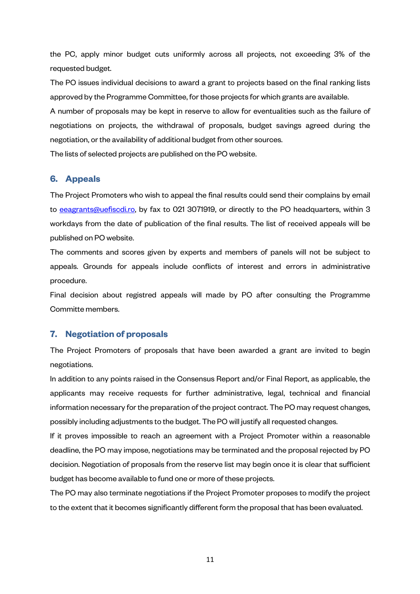the PC, apply minor budget cuts uniformly across all projects, not exceeding 3% of the requested budget.

The PO issues individual decisions to award a grant to projects based on the final ranking lists approved by the Programme Committee, for those projects for which grants are available.

A number of proposals may be kept in reserve to allow for eventualities such as the failure of negotiations on projects, the withdrawal of proposals, budget savings agreed during the negotiation, or the availability of additional budget from other sources.

The lists of selected projects are published on the PO website.

## **6. Appeals**

The Project Promoters who wish to appeal the final results could send their complains by email to eeagrants@uefiscdi.ro, by fax to 021 3071919, or directly to the PO headquarters, within 3 workdays from the date of publication of the final results. The list of received appeals will be published on PO website.

The comments and scores given by experts and members of panels will not be subject to appeals. Grounds for appeals include conflicts of interest and errors in administrative procedure.

Final decision about registred appeals will made by PO after consulting the Programme Committe members.

# **7. Negotiation of proposals**

The Project Promoters of proposals that have been awarded a grant are invited to begin negotiations.

In addition to any points raised in the Consensus Report and/or Final Report, as applicable, the applicants may receive requests for further administrative, legal, technical and financial information necessary for the preparation of the project contract. The PO may request changes, possibly including adjustments to the budget. The PO will justify all requested changes.

If it proves impossible to reach an agreement with a Project Promoter within a reasonable deadline, the PO may impose, negotiations may be terminated and the proposal rejected by PO decision. Negotiation of proposals from the reserve list may begin once it is clear that sufficient budget has become available to fund one or more of these projects.

The PO may also terminate negotiations if the Project Promoter proposes to modify the project to the extent that it becomes significantly different form the proposal that has been evaluated.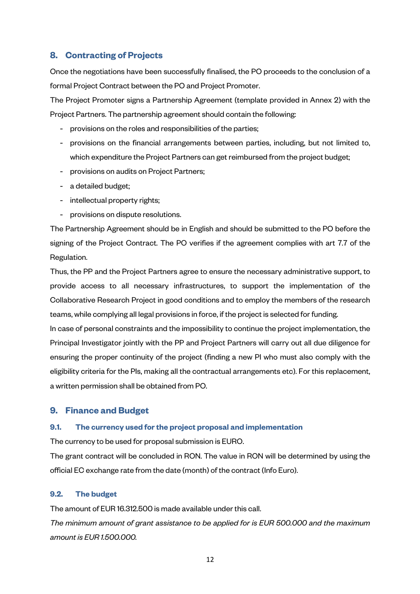# **8. Contracting of Projects**

Once the negotiations have been successfully finalised, the PO proceeds to the conclusion of a formal Project Contract between the PO and Project Promoter.

The Project Promoter signs a Partnership Agreement (template provided in Annex 2) with the Project Partners. The partnership agreement should contain the following:

- provisions on the roles and responsibilities of the parties;
- provisions on the financial arrangements between parties, including, but not limited to, which expenditure the Project Partners can get reimbursed from the project budget;
- provisions on audits on Project Partners;
- a detailed budget;
- intellectual property rights;
- provisions on dispute resolutions.

The Partnership Agreement should be in English and should be submitted to the PO before the signing of the Project Contract. The PO verifies if the agreement complies with art 7.7 of the Regulation.

Thus, the PP and the Project Partners agree to ensure the necessary administrative support, to provide access to all necessary infrastructures, to support the implementation of the Collaborative Research Project in good conditions and to employ the members of the research teams, while complying all legal provisions in force, if the project is selected for funding.

In case of personal constraints and the impossibility to continue the project implementation, the Principal Investigator jointly with the PP and Project Partners will carry out all due diligence for ensuring the proper continuity of the project (finding a new PI who must also comply with the eligibility criteria for the PIs, making all the contractual arrangements etc). For this replacement, a written permission shall be obtained from PO.

# **9. Finance and Budget**

#### **9.1. The currency used for the project proposal and implementation**

The currency to be used for proposal submission is EURO.

The grant contract will be concluded in RON. The value in RON will be determined by using the official EC exchange rate from the date (month) of the contract (Info Euro).

#### **9.2. The budget**

The amount of EUR 16.312.500 is made available under this call.

*The minimum amount of grant assistance to be applied for is EUR 500.000 and the maximum amount is EUR 1.500.000.*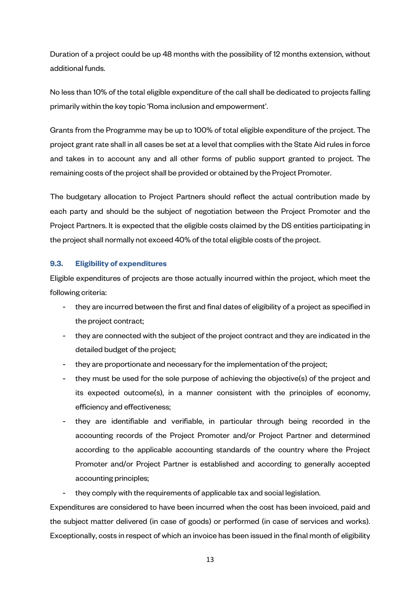Duration of a project could be up 48 months with the possibility of 12 months extension, without additional funds.

No less than 10% of the total eligible expenditure of the call shall be dedicated to projects falling primarily within the key topic 'Roma inclusion and empowerment'.

Grants from the Programme may be up to 100% of total eligible expenditure of the project. The project grant rate shall in all cases be set at a level that complies with the State Aid rules in force and takes in to account any and all other forms of public support granted to project. The remaining costs of the project shall be provided or obtained by the Project Promoter.

The budgetary allocation to Project Partners should reflect the actual contribution made by each party and should be the subject of negotiation between the Project Promoter and the Project Partners. It is expected that the eligible costs claimed by the DS entities participating in the project shall normally not exceed 40% of the total eligible costs of the project.

## **9.3. Eligibility of expenditures**

Eligible expenditures of projects are those actually incurred within the project, which meet the following criteria:

- they are incurred between the first and final dates of eligibility of a project as specified in the project contract;
- they are connected with the subject of the project contract and they are indicated in the detailed budget of the project;
- they are proportionate and necessary for the implementation of the project;
- they must be used for the sole purpose of achieving the objective(s) of the project and its expected outcome(s), in a manner consistent with the principles of economy, efficiency and effectiveness;
- they are identifiable and verifiable, in particular through being recorded in the accounting records of the Project Promoter and/or Project Partner and determined according to the applicable accounting standards of the country where the Project Promoter and/or Project Partner is established and according to generally accepted accounting principles;
- they comply with the requirements of applicable tax and social legislation.

Expenditures are considered to have been incurred when the cost has been invoiced, paid and the subject matter delivered (in case of goods) or performed (in case of services and works). Exceptionally, costs in respect of which an invoice has been issued in the final month of eligibility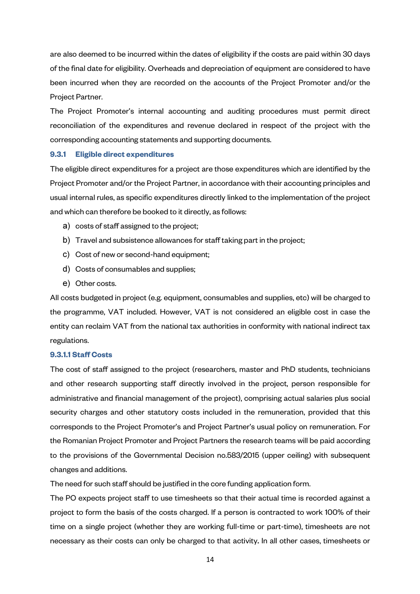are also deemed to be incurred within the dates of eligibility if the costs are paid within 30 days of the final date for eligibility. Overheads and depreciation of equipment are considered to have been incurred when they are recorded on the accounts of the Project Promoter and/or the Project Partner.

The Project Promoter's internal accounting and auditing procedures must permit direct reconciliation of the expenditures and revenue declared in respect of the project with the corresponding accounting statements and supporting documents.

#### **9.3.1 Eligible direct expenditures**

The eligible direct expenditures for a project are those expenditures which are identified by the Project Promoter and/or the Project Partner, in accordance with their accounting principles and usual internal rules, as specific expenditures directly linked to the implementation of the project and which can therefore be booked to it directly, as follows:

- a) costs of staff assigned to the project;
- b) Travel and subsistence allowances for staff taking part in the project;
- c) Cost of new or second-hand equipment;
- d) Costs of consumables and supplies;
- e) Other costs.

All costs budgeted in project (e.g. equipment, consumables and supplies, etc) will be charged to the programme, VAT included. However, VAT is not considered an eligible cost in case the entity can reclaim VAT from the national tax authorities in conformity with national indirect tax regulations.

#### **9.3.1.1 Staff Costs**

The cost of staff assigned to the project (researchers, master and PhD students, technicians and other research supporting staff directly involved in the project, person responsible for administrative and financial management of the project), comprising actual salaries plus social security charges and other statutory costs included in the remuneration, provided that this corresponds to the Project Promoter's and Project Partner's usual policy on remuneration. For the Romanian Project Promoter and Project Partners the research teams will be paid according to the provisions of the Governmental Decision no.583/2015 (upper ceiling) with subsequent changes and additions.

The need for such staff should be justified in the core funding application form.

The PO expects project staff to use timesheets so that their actual time is recorded against a project to form the basis of the costs charged. If a person is contracted to work 100% of their time on a single project (whether they are working full-time or part-time), timesheets are not necessary as their costs can only be charged to that activity. In all other cases, timesheets or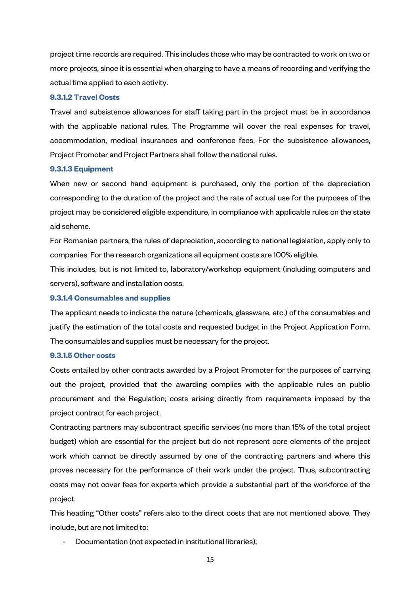project time records are required. This includes those who may be contracted to work on two or more projects, since it is essential when charging to have a means of recording and verifying the actual time applied to each activity.

#### **9.3.1.2 Travel Costs**

Travel and subsistence allowances for staff taking part in the project must be in accordance with the applicable national rules. The Programme will cover the real expenses for travel, accommodation, medical insurances and conference fees. For the subsistence allowances, Project Promoter and Project Partners shall follow the national rules.

#### **9.3.1.3 Equipment**

When new or second hand equipment is purchased, only the portion of the depreciation corresponding to the duration of the project and the rate of actual use for the purposes of the project may be considered eligible expenditure, in compliance with applicable rules on the state aid scheme.

For Romanian partners, the rules of depreciation, according to national legislation, apply only to companies. For the research organizations all equipment costs are 100% eligible.

This includes, but is not limited to, laboratory/workshop equipment (including computers and servers), software and installation costs.

#### **9.3.1.4 Consumables and supplies**

The applicant needs to indicate the nature (chemicals, glassware, etc.) of the consumables and justify the estimation of the total costs and requested budget in the Project Application Form. The consumables and supplies must be necessary for the project.

#### **9.3.1.5 Other costs**

Costs entailed by other contracts awarded by a Project Promoter for the purposes of carrying out the project, provided that the awarding complies with the applicable rules on public procurement and the Regulation; costs arising directly from requirements imposed by the project contract for each project.

Contracting partners may subcontract specific services (no more than 15% of the total project budget) which are essential for the project but do not represent core elements of the project work which cannot be directly assumed by one of the contracting partners and where this proves necessary for the performance of their work under the project. Thus, subcontracting costs may not cover fees for experts which provide a substantial part of the workforce of the project.

This heading "Other costs" refers also to the direct costs that are not mentioned above. They include, but are not limited to:

Documentation (not expected in institutional libraries);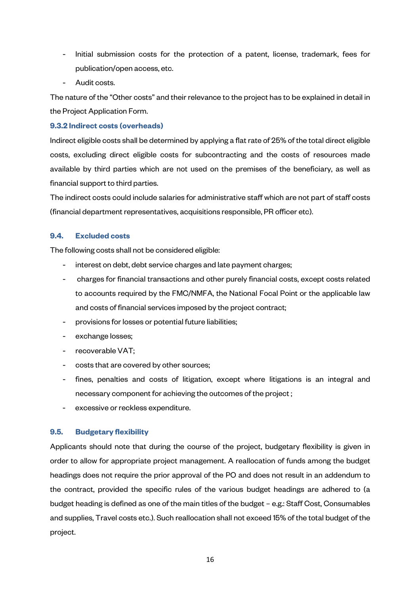- Initial submission costs for the protection of a patent, license, trademark, fees for publication/open access, etc.
- Audit costs.

The nature of the "Other costs" and their relevance to the project has to be explained in detail in the Project Application Form.

## **9.3.2 Indirect costs (overheads)**

Indirect eligible costs shall be determined by applying a flat rate of 25% of the total direct eligible costs, excluding direct eligible costs for subcontracting and the costs of resources made available by third parties which are not used on the premises of the beneficiary, as well as financial support to third parties.

The indirect costs could include salaries for administrative staff which are not part of staff costs (financial department representatives, acquisitions responsible, PR officer etc).

## **9.4. Excluded costs**

The following costs shall not be considered eligible:

- interest on debt, debt service charges and late payment charges;
- charges for financial transactions and other purely financial costs, except costs related to accounts required by the FMC/NMFA, the National Focal Point or the applicable law and costs of financial services imposed by the project contract;
- provisions for losses or potential future liabilities;
- exchange losses;
- recoverable VAT;
- costs that are covered by other sources;
- fines, penalties and costs of litigation, except where litigations is an integral and necessary component for achieving the outcomes of the project ;
- excessive or reckless expenditure.

## **9.5. Budgetary flexibility**

Applicants should note that during the course of the project, budgetary flexibility is given in order to allow for appropriate project management. A reallocation of funds among the budget headings does not require the prior approval of the PO and does not result in an addendum to the contract, provided the specific rules of the various budget headings are adhered to (a budget heading is defined as one of the main titles of the budget – e.g.: Staff Cost, Consumables and supplies, Travel costs etc.). Such reallocation shall not exceed 15% of the total budget of the project.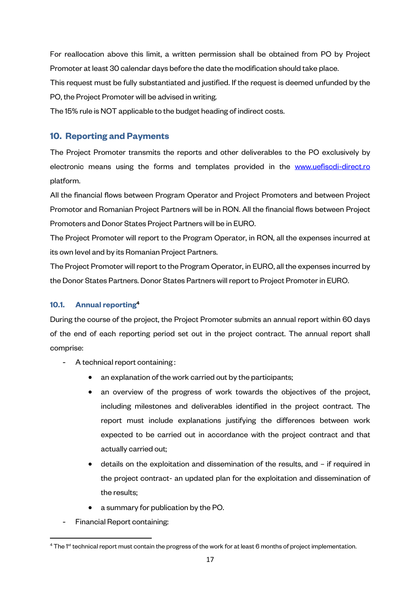For reallocation above this limit, a written permission shall be obtained from PO by Project Promoter at least 30 calendar days before the date the modification should take place.

This request must be fully substantiated and justified. If the request is deemed unfunded by the PO, the Project Promoter will be advised in writing.

The 15% rule is NOT applicable to the budget heading of indirect costs.

# **10. Reporting and Payments**

The Project Promoter transmits the reports and other deliverables to the PO exclusively by electronic means using the forms and templates provided in the www.uefiscdi-direct.ro platform.

All the financial flows between Program Operator and Project Promoters and between Project Promotor and Romanian Project Partners will be in RON. All the financial flows between Project Promoters and Donor States Project Partners will be in EURO.

The Project Promoter will report to the Program Operator, in RON, all the expenses incurred at its own level and by its Romanian Project Partners.

The Project Promoter will report to the Program Operator, in EURO, all the expenses incurred by the Donor States Partners. Donor States Partners will report to Project Promoter in EURO.

## **10.1. Annual reporting<sup>4</sup>**

During the course of the project, the Project Promoter submits an annual report within 60 days of the end of each reporting period set out in the project contract. The annual report shall comprise:

- A technical report containing:
	- an explanation of the work carried out by the participants;
	- an overview of the progress of work towards the objectives of the project, including milestones and deliverables identified in the project contract. The report must include explanations justifying the differences between work expected to be carried out in accordance with the project contract and that actually carried out;
	- details on the exploitation and dissemination of the results, and if required in the project contract- an updated plan for the exploitation and dissemination of the results;
	- a summary for publication by the PO.
- Financial Report containing:

l

<sup>&</sup>lt;sup>4</sup> The 1st technical report must contain the progress of the work for at least 6 months of project implementation.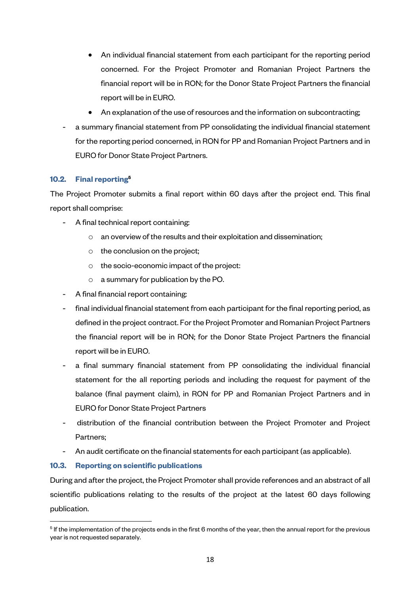- An individual financial statement from each participant for the reporting period concerned. For the Project Promoter and Romanian Project Partners the financial report will be in RON; for the Donor State Project Partners the financial report will be in EURO.
- An explanation of the use of resources and the information on subcontracting;
- a summary financial statement from PP consolidating the individual financial statement for the reporting period concerned, in RON for PP and Romanian Project Partners and in EURO for Donor State Project Partners.

## **10.2. Final reporting<sup>5</sup>**

The Project Promoter submits a final report within 60 days after the project end. This final report shall comprise:

- A final technical report containing:
	- o an overview of the results and their exploitation and dissemination;
	- o the conclusion on the project;
	- o the socio-economic impact of the project:
	- o a summary for publication by the PO.
- A final financial report containing:
- final individual financial statement from each participant for the final reporting period, as defined in the project contract. For the Project Promoter and Romanian Project Partners the financial report will be in RON; for the Donor State Project Partners the financial report will be in EURO.
- a final summary financial statement from PP consolidating the individual financial statement for the all reporting periods and including the request for payment of the balance (final payment claim), in RON for PP and Romanian Project Partners and in EURO for Donor State Project Partners
- distribution of the financial contribution between the Project Promoter and Project Partners;
- An audit certificate on the financial statements for each participant (as applicable).

## **10.3. Reporting on scientific publications**

 $\overline{a}$ 

During and after the project, the Project Promoter shall provide references and an abstract of all scientific publications relating to the results of the project at the latest 60 days following publication.

 $^5$  If the implementation of the projects ends in the first 6 months of the year, then the annual report for the previous year is not requested separately.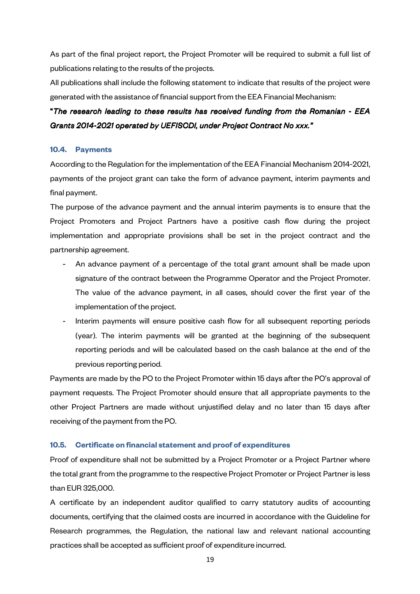As part of the final project report, the Project Promoter will be required to submit a full list of publications relating to the results of the projects.

All publications shall include the following statement to indicate that results of the project were generated with the assistance of financial support from the EEA Financial Mechanism:

# "*The research leading to these results has received funding from the Romanian - funding the - EEA Grants 2014-2021 operated by UEFISCDI, under Project Contract No xxx."*

## **10.4. Payments**

According to the Regulation for the implementation of the EEA Financial Mechanism 2014-2021, payments of the project grant can take the form of advance payment, interim payments and final payment.

The purpose of the advance payment and the annual interim payments is to ensure that the Project Promoters and Project Partners have a positive cash flow during the project implementation and appropriate provisions shall be set in the project contract and the partnership agreement.

- An advance payment of a percentage of the total grant amount shall be made upon signature of the contract between the Programme Operator and the Project Promoter. The value of the advance payment, in all cases, should cover the first year of the implementation of the project.
- Interim payments will ensure positive cash flow for all subsequent reporting periods (year). The interim payments will be granted at the beginning of the subsequent reporting periods and will be calculated based on the cash balance at the end of the previous reporting period.

Payments are made by the PO to the Project Promoter within 15 days after the PO's approval of payment requests. The Project Promoter should ensure that all appropriate payments to the other Project Partners are made without unjustified delay and no later than 15 days after receiving of the payment from the PO.

#### **10.5. Certificate on financial statement and proof of expenditures**

Proof of expenditure shall not be submitted by a Project Promoter or a Project Partner where the total grant from the programme to the respective Project Promoter or Project Partner is less than EUR 325,000.

A certificate by an independent auditor qualified to carry statutory audits of accounting documents, certifying that the claimed costs are incurred in accordance with the Guideline for Research programmes, the Regulation, the national law and relevant national accounting practices shall be accepted as sufficient proof of expenditure incurred.